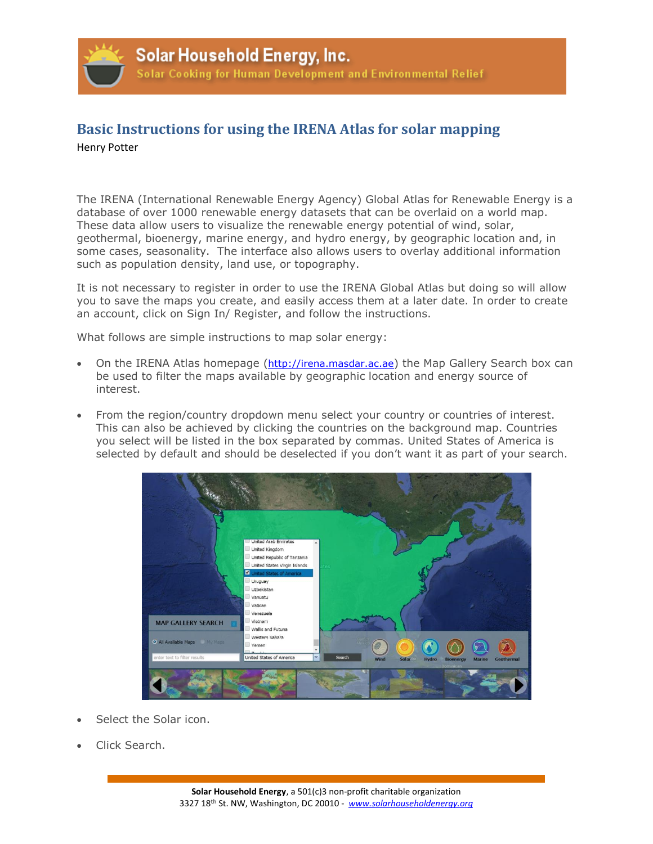

## **Basic Instructions for using the IRENA Atlas for solar mapping**

## Henry Potter

The IRENA (International Renewable Energy Agency) Global Atlas for Renewable Energy is a database of over 1000 renewable energy datasets that can be overlaid on a world map. These data allow users to visualize the renewable energy potential of wind, solar, geothermal, bioenergy, marine energy, and hydro energy, by geographic location and, in some cases, seasonality. The interface also allows users to overlay additional information such as population density, land use, or topography.

It is not necessary to register in order to use the IRENA Global Atlas but doing so will allow you to save the maps you create, and easily access them at a later date. In order to create an account, click on Sign In/ Register, and follow the instructions.

What follows are simple instructions to map solar energy:

- On the IRENA Atlas homepage ([http://irena.masdar.ac.ae](http://irena.masdar.ac.ae/)) the Map Gallery Search box can be used to filter the maps available by geographic location and energy source of interest.
- From the region/country dropdown menu select your country or countries of interest. This can also be achieved by clicking the countries on the background map. Countries you select will be listed in the box separated by commas. United States of America is selected by default and should be deselected if you don't want it as part of your search.



- Select the Solar icon.
- Click Search.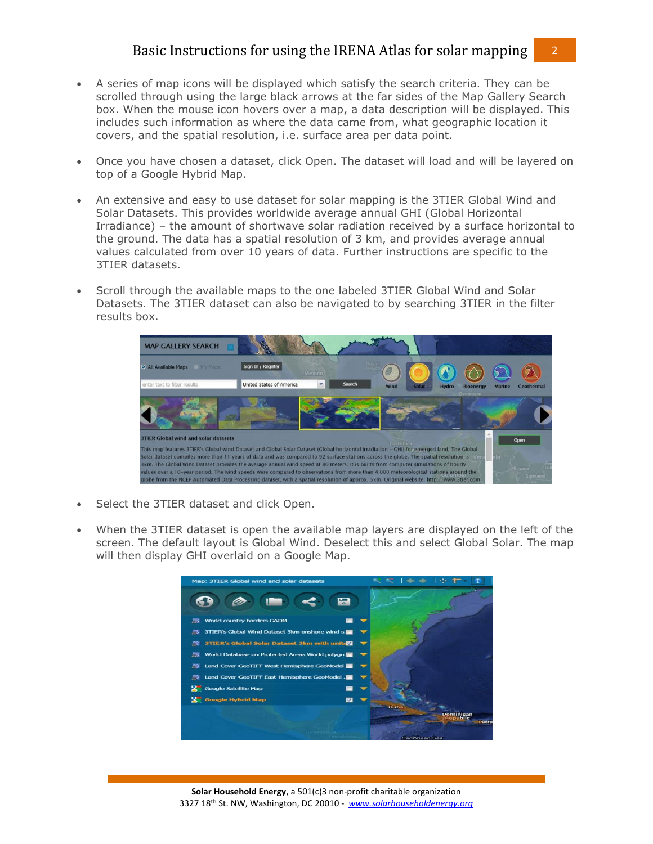## Basic Instructions for using the IRENA Atlas for solar mapping 2

- A series of map icons will be displayed which satisfy the search criteria. They can be scrolled through using the large black arrows at the far sides of the Map Gallery Search box. When the mouse icon hovers over a map, a data description will be displayed. This includes such information as where the data came from, what geographic location it covers, and the spatial resolution, i.e. surface area per data point.
- Once you have chosen a dataset, click Open. The dataset will load and will be layered on top of a Google Hybrid Map.
- An extensive and easy to use dataset for solar mapping is the 3TIER Global Wind and Solar Datasets. This provides worldwide average annual GHI (Global Horizontal Irradiance) – the amount of shortwave solar radiation received by a surface horizontal to the ground. The data has a spatial resolution of 3 km, and provides average annual values calculated from over 10 years of data. Further instructions are specific to the 3TIER datasets.
- Scroll through the available maps to the one labeled 3TIER Global Wind and Solar Datasets. The 3TIER dataset can also be navigated to by searching 3TIER in the filter results box.



- Select the 3TIER dataset and click Open.
- When the 3TIER dataset is open the available map layers are displayed on the left of the screen. The default layout is Global Wind. Deselect this and select Global Solar. The map will then display GHI overlaid on a Google Map.